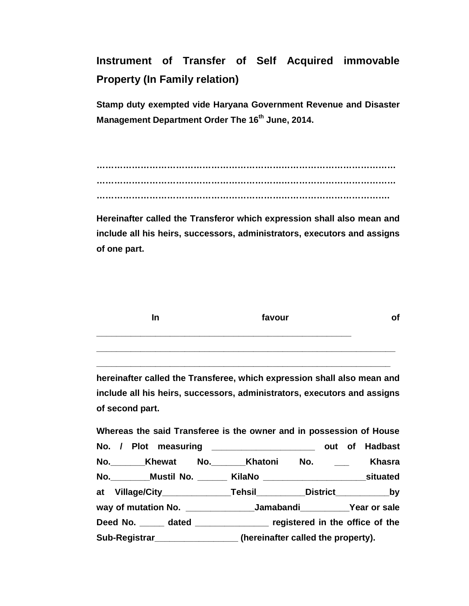**Instrument of Transfer of Self Acquired immovable Property (In Family relation)** 

**Stamp duty exempted vide Haryana Government Revenue and Disaster Management Department Order The 16th June, 2014.** 

**………………………………………………………………………………………… ………………………………………………………………………………………… ……………………………………………………………………………………….** 

**Hereinafter called the Transferor which expression shall also mean and include all his heirs, successors, administrators, executors and assigns of one part.** 

| In | favour |  |
|----|--------|--|
|    |        |  |

**hereinafter called the Transferee, which expression shall also mean and include all his heirs, successors, administrators, executors and assigns of second part.** 

**\_\_\_\_\_\_\_\_\_\_\_\_\_\_\_\_\_\_\_\_\_\_\_\_\_\_\_\_\_\_\_\_\_\_\_\_\_\_\_\_\_\_\_\_\_\_\_\_\_\_\_\_\_\_\_\_\_\_\_\_** 

**Whereas the said Transferee is the owner and in possession of House No. / Plot measuring \_\_\_\_\_\_\_\_\_\_\_\_\_\_\_\_\_\_\_\_\_ out of Hadbast No.\_\_\_\_\_\_\_Khewat No.\_\_\_\_\_\_\_Khatoni No. \_\_\_ Khasra No.\_\_\_\_\_\_\_\_Mustil No. \_\_\_\_\_\_ KilaNo \_\_\_\_\_\_\_\_\_\_\_\_\_\_\_\_\_\_\_\_\_situated at Village/City\_\_\_\_\_\_\_\_\_\_\_\_\_\_Tehsil\_\_\_\_\_\_\_\_\_\_District\_\_\_\_\_\_\_\_\_\_\_by way of mutation No. \_\_\_\_\_\_\_\_\_\_\_\_\_\_Jamabandi\_\_\_\_\_\_\_\_\_\_Year or sale Deed No. \_\_\_\_\_ dated \_\_\_\_\_\_\_\_\_\_\_\_\_\_\_ registered in the office of the Sub-Registrar\_\_\_\_\_\_\_\_\_\_\_\_\_\_\_\_\_ (hereinafter called the property).**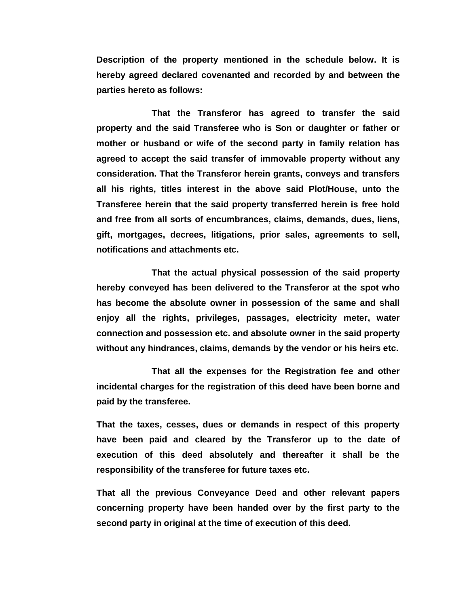**Description of the property mentioned in the schedule below. It is hereby agreed declared covenanted and recorded by and between the parties hereto as follows:** 

 **That the Transferor has agreed to transfer the said property and the said Transferee who is Son or daughter or father or mother or husband or wife of the second party in family relation has agreed to accept the said transfer of immovable property without any consideration. That the Transferor herein grants, conveys and transfers all his rights, titles interest in the above said Plot/House, unto the Transferee herein that the said property transferred herein is free hold and free from all sorts of encumbrances, claims, demands, dues, liens, gift, mortgages, decrees, litigations, prior sales, agreements to sell, notifications and attachments etc.** 

 **That the actual physical possession of the said property hereby conveyed has been delivered to the Transferor at the spot who has become the absolute owner in possession of the same and shall enjoy all the rights, privileges, passages, electricity meter, water connection and possession etc. and absolute owner in the said property without any hindrances, claims, demands by the vendor or his heirs etc.** 

 **That all the expenses for the Registration fee and other incidental charges for the registration of this deed have been borne and paid by the transferee.** 

**That the taxes, cesses, dues or demands in respect of this property have been paid and cleared by the Transferor up to the date of execution of this deed absolutely and thereafter it shall be the responsibility of the transferee for future taxes etc.** 

**That all the previous Conveyance Deed and other relevant papers concerning property have been handed over by the first party to the second party in original at the time of execution of this deed.**